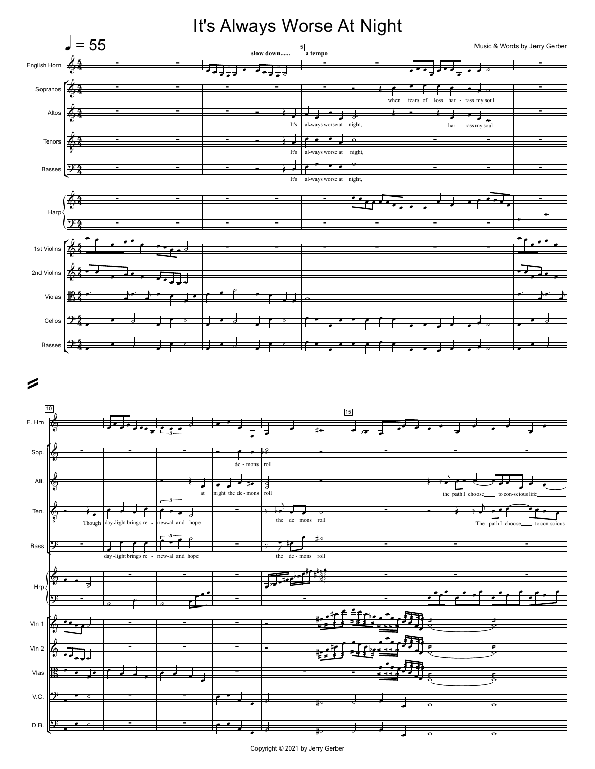

## Copyright © 2021 by Jerry Gerber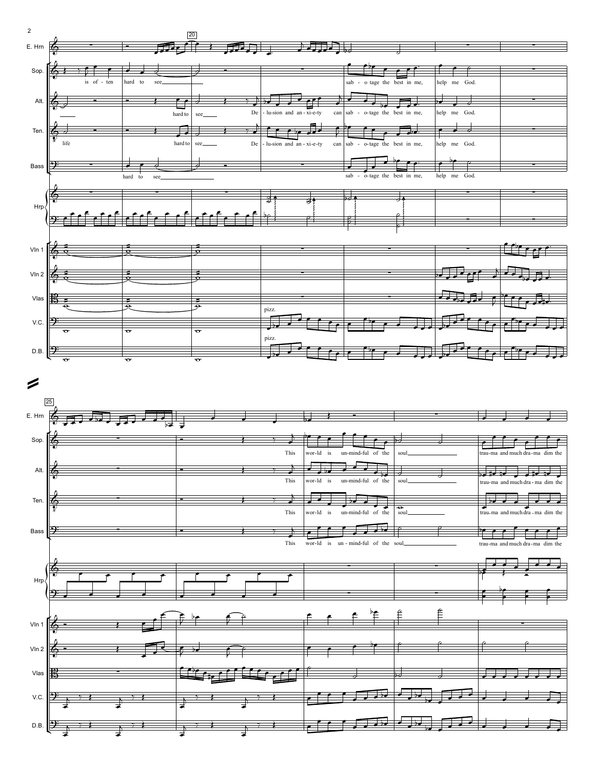